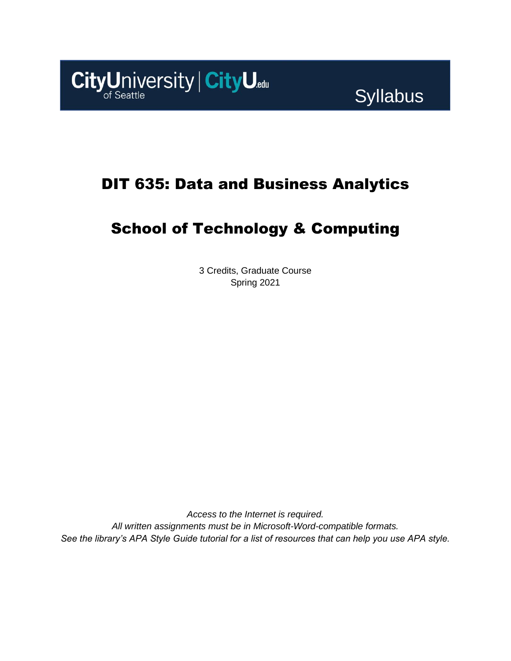

# DIT 635: Data and Business Analytics

# School of Technology & Computing

3 Credits, Graduate Course Spring 2021

*Access to the Internet is required. All written assignments must be in Microsoft-Word-compatible formats. See the library's APA Style Guide tutorial for a list of resources that can help you use APA style.*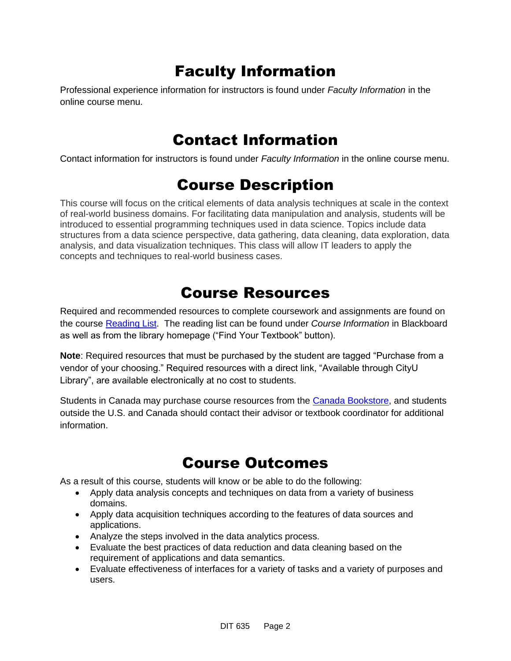# Faculty Information

Professional experience information for instructors is found under *Faculty Information* in the online course menu.

## Contact Information

Contact information for instructors is found under *Faculty Information* in the online course menu.

## Course Description

This course will focus on the critical elements of data analysis techniques at scale in the context of real-world business domains. For facilitating data manipulation and analysis, students will be introduced to essential programming techniques used in data science. Topics include data structures from a data science perspective, data gathering, data cleaning, data exploration, data analysis, and data visualization techniques. This class will allow IT leaders to apply the concepts and techniques to real-world business cases.

# Course Resources

Required and recommended resources to complete coursework and assignments are found on the course [Reading List.](https://cityu.alma.exlibrisgroup.com/leganto/login?auth=SAML) The reading list can be found under *Course Information* in Blackboard as well as from the library homepage ("Find Your Textbook" button).

**Note**: Required resources that must be purchased by the student are tagged "Purchase from a vendor of your choosing." Required resources with a direct link, "Available through CityU Library", are available electronically at no cost to students.

Students in Canada may purchase course resources from the [Canada Bookstore,](https://www.cityubookstore.ca/index.asp) and students outside the U.S. and Canada should contact their advisor or textbook coordinator for additional information.

# Course Outcomes

As a result of this course, students will know or be able to do the following:

- Apply data analysis concepts and techniques on data from a variety of business domains.
- Apply data acquisition techniques according to the features of data sources and applications.
- Analyze the steps involved in the data analytics process.
- Evaluate the best practices of data reduction and data cleaning based on the requirement of applications and data semantics.
- Evaluate effectiveness of interfaces for a variety of tasks and a variety of purposes and users.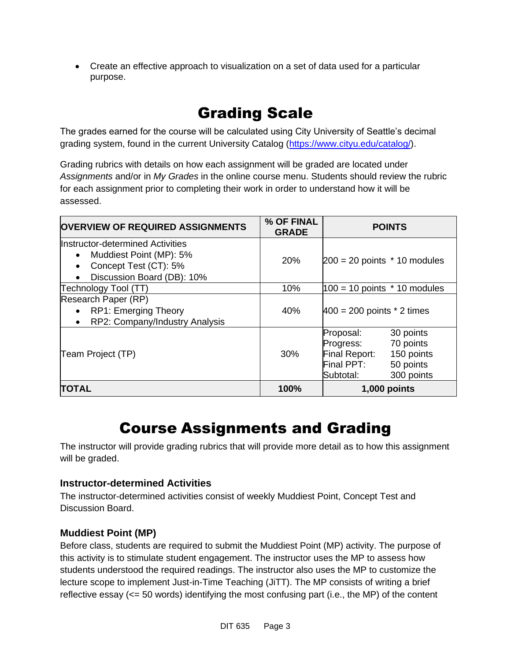• Create an effective approach to visualization on a set of data used for a particular purpose.

# Grading Scale

The grades earned for the course will be calculated using City University of Seattle's decimal grading system, found in the current University Catalog [\(https://www.cityu.edu/catalog/\)](https://www.cityu.edu/catalog/).

Grading rubrics with details on how each assignment will be graded are located under *Assignments* and/or in *My Grades* in the online course menu. Students should review the rubric for each assignment prior to completing their work in order to understand how it will be assessed.

| <b>OVERVIEW OF REQUIRED ASSIGNMENTS</b>                                                                                                      | % OF FINAL<br><b>GRADE</b> | <b>POINTS</b>                                                                                                                         |  |  |
|----------------------------------------------------------------------------------------------------------------------------------------------|----------------------------|---------------------------------------------------------------------------------------------------------------------------------------|--|--|
| Instructor-determined Activities<br>Muddiest Point (MP): 5%<br>$\bullet$<br>Concept Test (CT): 5%<br>$\bullet$<br>Discussion Board (DB): 10% | <b>20%</b>                 | $200 = 20$ points $*$ 10 modules                                                                                                      |  |  |
| Technology Tool (TT)                                                                                                                         | 10%                        | $100 = 10$ points $*$ 10 modules                                                                                                      |  |  |
| Research Paper (RP)<br><b>RP1: Emerging Theory</b><br>$\bullet$<br>RP2: Company/Industry Analysis<br>$\bullet$                               | 40%                        | $400 = 200$ points $*$ 2 times                                                                                                        |  |  |
| Team Project (TP)                                                                                                                            | 30%                        | Proposal:<br>30 points<br>70 points<br>Progress:<br>Final Report:<br>150 points<br>Final PPT:<br>50 points<br>Subtotal:<br>300 points |  |  |
| <b>TOTAL</b>                                                                                                                                 | 100%                       | $1,000$ points                                                                                                                        |  |  |

# Course Assignments and Grading

The instructor will provide grading rubrics that will provide more detail as to how this assignment will be graded.

#### **Instructor-determined Activities**

The instructor-determined activities consist of weekly Muddiest Point, Concept Test and Discussion Board.

### **Muddiest Point (MP)**

Before class, students are required to submit the Muddiest Point (MP) activity. The purpose of this activity is to stimulate student engagement. The instructor uses the MP to assess how students understood the required readings. The instructor also uses the MP to customize the lecture scope to implement Just-in-Time Teaching (JiTT). The MP consists of writing a brief reflective essay (<= 50 words) identifying the most confusing part (i.e., the MP) of the content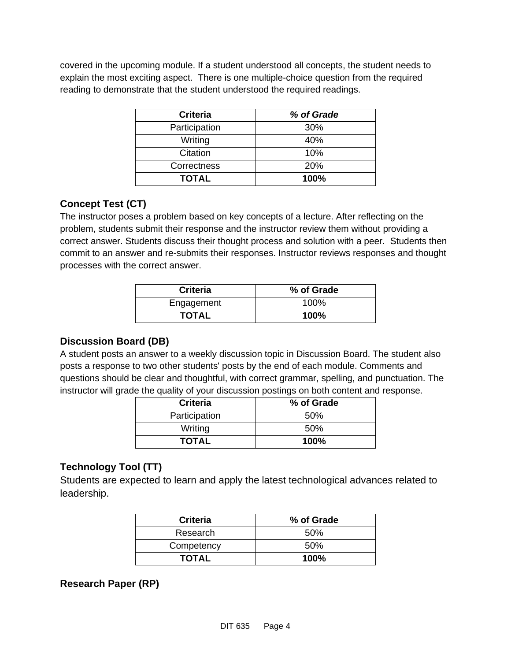covered in the upcoming module. If a student understood all concepts, the student needs to explain the most exciting aspect. There is one multiple-choice question from the required reading to demonstrate that the student understood the required readings.

| <b>Criteria</b> | % of Grade |
|-----------------|------------|
| Participation   | 30%        |
| Writing         | 40%        |
| Citation        | 10%        |
| Correctness     | <b>20%</b> |
| <b>TOTAL</b>    | 100%       |

### **Concept Test (CT)**

The instructor poses a problem based on key concepts of a lecture. After reflecting on the problem, students submit their response and the instructor review them without providing a correct answer. Students discuss their thought process and solution with a peer. Students then commit to an answer and re-submits their responses. Instructor reviews responses and thought processes with the correct answer.

| <b>Criteria</b> | % of Grade |
|-----------------|------------|
| Engagement      | 100%       |
| <b>TOTAL</b>    | 100%       |

#### **Discussion Board (DB)**

A student posts an answer to a weekly discussion topic in Discussion Board. The student also posts a response to two other students' posts by the end of each module. Comments and questions should be clear and thoughtful, with correct grammar, spelling, and punctuation. The instructor will grade the quality of your discussion postings on both content and response.

| <b>Criteria</b> | % of Grade |
|-----------------|------------|
| Participation   | .50%       |
| Writing         | .50%       |
| <b>TOTAL</b>    | 100%       |

## **Technology Tool (TT)**

Students are expected to learn and apply the latest technological advances related to leadership.

| <b>Criteria</b> | % of Grade |
|-----------------|------------|
| Research        | 50%        |
| Competency      | .50%       |
| <b>TOTAL</b>    | $100\%$    |

### **Research Paper (RP)**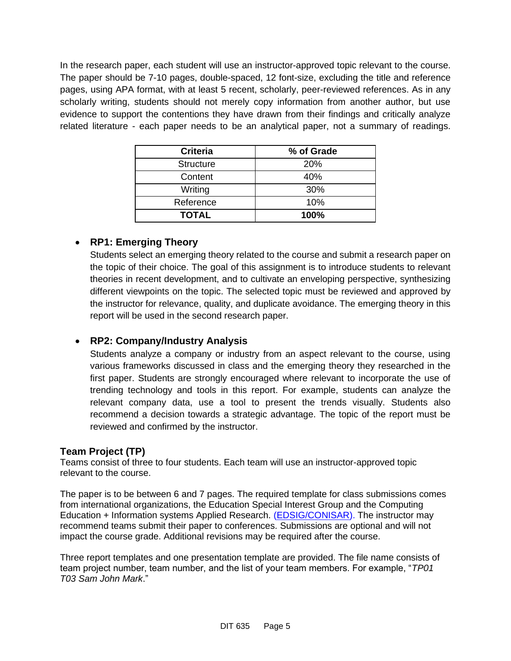In the research paper, each student will use an instructor-approved topic relevant to the course. The paper should be 7-10 pages, double-spaced, 12 font-size, excluding the title and reference pages, using APA format, with at least 5 recent, scholarly, peer-reviewed references. As in any scholarly writing, students should not merely copy information from another author, but use evidence to support the contentions they have drawn from their findings and critically analyze related literature - each paper needs to be an analytical paper, not a summary of readings.

| <b>Criteria</b>  | % of Grade |
|------------------|------------|
| <b>Structure</b> | 20%        |
| Content          | 40%        |
| Writing          | 30%        |
| Reference        | 10%        |
| <b>TOTAL</b>     | 100%       |

### • **RP1: Emerging Theory**

Students select an emerging theory related to the course and submit a research paper on the topic of their choice. The goal of this assignment is to introduce students to relevant theories in recent development, and to cultivate an enveloping perspective, synthesizing different viewpoints on the topic. The selected topic must be reviewed and approved by the instructor for relevance, quality, and duplicate avoidance. The emerging theory in this report will be used in the second research paper.

#### • **RP2: Company/Industry Analysis**

Students analyze a company or industry from an aspect relevant to the course, using various frameworks discussed in class and the emerging theory they researched in the first paper. Students are strongly encouraged where relevant to incorporate the use of trending technology and tools in this report. For example, students can analyze the relevant company data, use a tool to present the trends visually. Students also recommend a decision towards a strategic advantage. The topic of the report must be reviewed and confirmed by the instructor.

#### **Team Project (TP)**

Teams consist of three to four students. Each team will use an instructor-approved topic relevant to the course.

The paper is to be between 6 and 7 pages. The required template for class submissions comes from international organizations, the Education Special Interest Group and the Computing Education + Information systems Applied Research. [\(EDSIG/CONISAR\)](https://edsig.org/). The instructor may recommend teams submit their paper to conferences. Submissions are optional and will not impact the course grade. Additional revisions may be required after the course.

Three report templates and one presentation template are provided. The file name consists of team project number, team number, and the list of your team members. For example, "*TP01 T03 Sam John Mark*."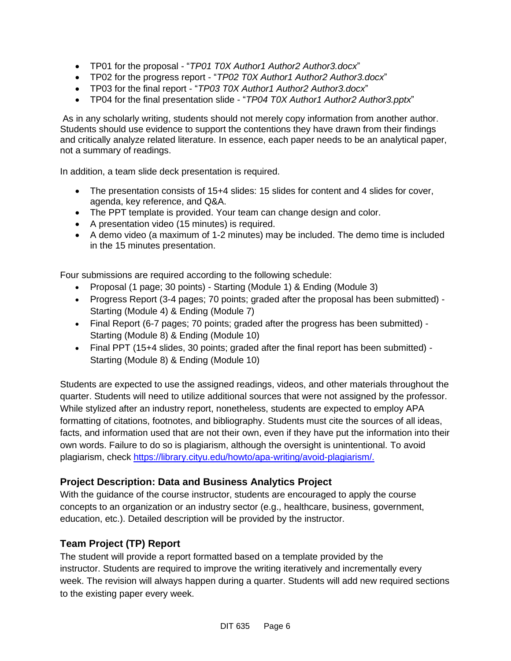- TP01 for the proposal "*TP01 T0X Author1 Author2 Author3.docx*"
- TP02 for the progress report "*TP02 T0X Author1 Author2 Author3.docx*"
- TP03 for the final report "*TP03 T0X Author1 Author2 Author3.docx*"
- TP04 for the final presentation slide "*TP04 T0X Author1 Author2 Author3.pptx*"

As in any scholarly writing, students should not merely copy information from another author. Students should use evidence to support the contentions they have drawn from their findings and critically analyze related literature. In essence, each paper needs to be an analytical paper, not a summary of readings.

In addition, a team slide deck presentation is required.

- The presentation consists of 15+4 slides: 15 slides for content and 4 slides for cover, agenda, key reference, and Q&A.
- The PPT template is provided. Your team can change design and color.
- A presentation video (15 minutes) is required.
- A demo video (a maximum of 1-2 minutes) may be included. The demo time is included in the 15 minutes presentation.

Four submissions are required according to the following schedule:

- Proposal (1 page; 30 points) Starting (Module 1) & Ending (Module 3)
- Progress Report (3-4 pages; 70 points; graded after the proposal has been submitted) Starting (Module 4) & Ending (Module 7)
- Final Report (6-7 pages; 70 points; graded after the progress has been submitted) Starting (Module 8) & Ending (Module 10)
- Final PPT (15+4 slides, 30 points; graded after the final report has been submitted) Starting (Module 8) & Ending (Module 10)

Students are expected to use the assigned readings, videos, and other materials throughout the quarter. Students will need to utilize additional sources that were not assigned by the professor. While stylized after an industry report, nonetheless, students are expected to employ APA formatting of citations, footnotes, and bibliography. Students must cite the sources of all ideas, facts, and information used that are not their own, even if they have put the information into their own words. Failure to do so is plagiarism, although the oversight is unintentional. To avoid plagiarism, check [https://library.cityu.edu/howto/apa-writing/avoid-plagiarism/.](https://library.cityu.edu/howto/apa-writing/avoid-plagiarism/)

#### **Project Description: Data and Business Analytics Project**

With the guidance of the course instructor, students are encouraged to apply the course concepts to an organization or an industry sector (e.g., healthcare, business, government, education, etc.). Detailed description will be provided by the instructor.

### **Team Project (TP) Report**

The student will provide a report formatted based on a template provided by the instructor. Students are required to improve the writing iteratively and incrementally every week. The revision will always happen during a quarter. Students will add new required sections to the existing paper every week.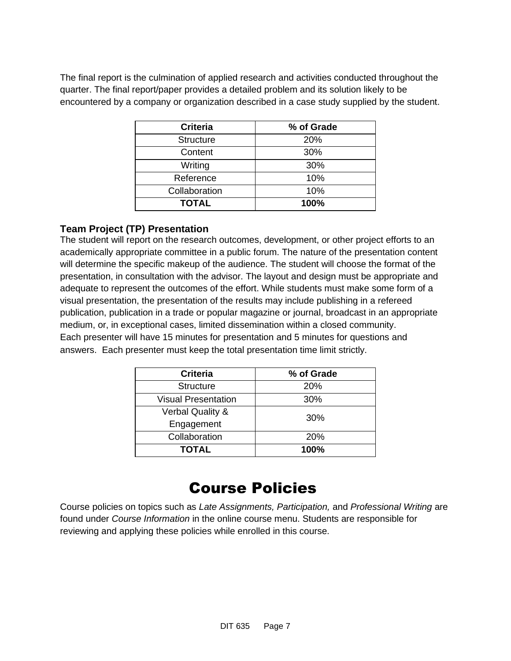The final report is the culmination of applied research and activities conducted throughout the quarter. The final report/paper provides a detailed problem and its solution likely to be encountered by a company or organization described in a case study supplied by the student.

| <b>Criteria</b>  | % of Grade |
|------------------|------------|
| <b>Structure</b> | 20%        |
| Content          | 30%        |
| Writing          | 30%        |
| Reference        | 10%        |
| Collaboration    | 10%        |
| <b>TOTAL</b>     | 100%       |

### **Team Project (TP) Presentation**

The student will report on the research outcomes, development, or other project efforts to an academically appropriate committee in a public forum. The nature of the presentation content will determine the specific makeup of the audience. The student will choose the format of the presentation, in consultation with the advisor. The layout and design must be appropriate and adequate to represent the outcomes of the effort. While students must make some form of a visual presentation, the presentation of the results may include publishing in a refereed publication, publication in a trade or popular magazine or journal, broadcast in an appropriate medium, or, in exceptional cases, limited dissemination within a closed community. Each presenter will have 15 minutes for presentation and 5 minutes for questions and answers. Each presenter must keep the total presentation time limit strictly.

| <b>Criteria</b>             | % of Grade |
|-----------------------------|------------|
| <b>Structure</b>            | <b>20%</b> |
| <b>Visual Presentation</b>  | 30%        |
| <b>Verbal Quality &amp;</b> | 30%        |
| Engagement                  |            |
| Collaboration               | <b>20%</b> |
| <b>TOTAL</b>                | 100%       |

# Course Policies

Course policies on topics such as *Late Assignments, Participation,* and *Professional Writing* are found under *Course Information* in the online course menu. Students are responsible for reviewing and applying these policies while enrolled in this course.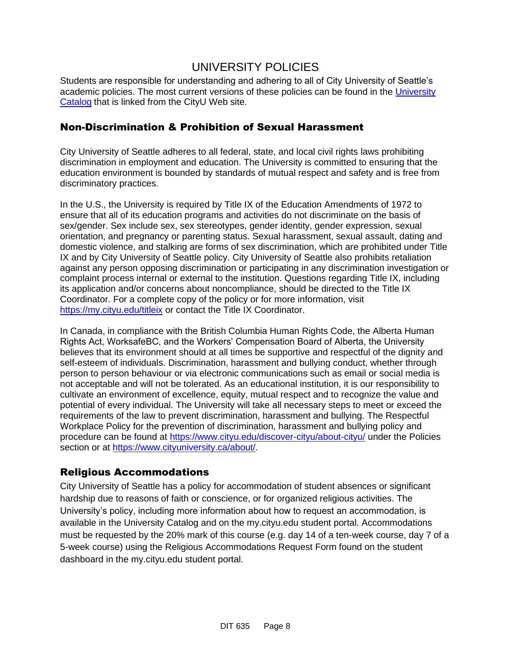## UNIVERSITY POLICIES

Students are responsible for understanding and adhering to all of City University of Seattle's academic policies. The most current versions of these policies can be found in the University [Catalog](http://www.cityu.edu/catalog/) that is linked from the CityU Web site.

#### Non-Discrimination & Prohibition of Sexual Harassment

City University of Seattle adheres to all federal, state, and local civil rights laws prohibiting discrimination in employment and education. The University is committed to ensuring that the education environment is bounded by standards of mutual respect and safety and is free from discriminatory practices.

In the U.S., the University is required by Title IX of the Education Amendments of 1972 to ensure that all of its education programs and activities do not discriminate on the basis of sex/gender. Sex include sex, sex stereotypes, gender identity, gender expression, sexual orientation, and pregnancy or parenting status. Sexual harassment, sexual assault, dating and domestic violence, and stalking are forms of sex discrimination, which are prohibited under Title IX and by City University of Seattle policy. City University of Seattle also prohibits retaliation against any person opposing discrimination or participating in any discrimination investigation or complaint process internal or external to the institution. Questions regarding Title IX, including its application and/or concerns about noncompliance, should be directed to the Title IX Coordinator. For a complete copy of the policy or for more information, visit <https://my.cityu.edu/titleix> or contact the Title IX Coordinator.

In Canada, in compliance with the British Columbia Human Rights Code, the Alberta Human Rights Act, WorksafeBC, and the Workers' Compensation Board of Alberta, the University believes that its environment should at all times be supportive and respectful of the dignity and self-esteem of individuals. Discrimination, harassment and bullying conduct, whether through person to person behaviour or via electronic communications such as email or social media is not acceptable and will not be tolerated. As an educational institution, it is our responsibility to cultivate an environment of excellence, equity, mutual respect and to recognize the value and potential of every individual. The University will take all necessary steps to meet or exceed the requirements of the law to prevent discrimination, harassment and bullying. The Respectful Workplace Policy for the prevention of discrimination, harassment and bullying policy and procedure can be found at<https://www.cityu.edu/discover-cityu/about-cityu/> under the Policies section or at [https://www.cityuniversity.ca/about/.](https://www.cityuniversity.ca/about/)

#### Religious Accommodations

City University of Seattle has a policy for accommodation of student absences or significant hardship due to reasons of faith or conscience, or for organized religious activities. The University's policy, including more information about how to request an accommodation, is available in the University Catalog and on the my.cityu.edu student portal. Accommodations must be requested by the 20% mark of this course (e.g. day 14 of a ten-week course, day 7 of a 5-week course) using the Religious Accommodations Request Form found on the student dashboard in the my.cityu.edu student portal.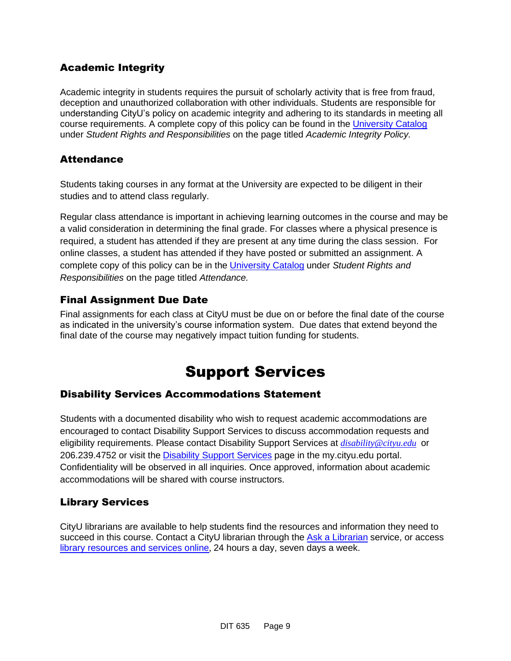## Academic Integrity

Academic integrity in students requires the pursuit of scholarly activity that is free from fraud, deception and unauthorized collaboration with other individuals. Students are responsible for understanding CityU's policy on academic integrity and adhering to its standards in meeting all course requirements. A complete copy of this policy can be found in the [University Catalog](http://www.cityu.edu/catalog/) under *Student Rights and Responsibilities* on the page titled *Academic Integrity Policy.* 

## **Attendance**

Students taking courses in any format at the University are expected to be diligent in their studies and to attend class regularly.

Regular class attendance is important in achieving learning outcomes in the course and may be a valid consideration in determining the final grade. For classes where a physical presence is required, a student has attended if they are present at any time during the class session. For online classes, a student has attended if they have posted or submitted an assignment. A complete copy of this policy can be in the [University Catalog](http://www.cityu.edu/catalog/) under *Student Rights and Responsibilities* on the page titled *Attendance.*

### Final Assignment Due Date

Final assignments for each class at CityU must be due on or before the final date of the course as indicated in the university's course information system. Due dates that extend beyond the final date of the course may negatively impact tuition funding for students.

# Support Services

### Disability Services Accommodations Statement

Students with a documented disability who wish to request academic accommodations are encouraged to contact Disability Support Services to discuss accommodation requests and eligibility requirements. Please contact Disability Support Services at *[disability@cityu.edu](mailto:disability@cityu.edu)* or 206.239.4752 or visit the [Disability Support Services](https://my.cityu.edu/department/disability-support-services/) page in the my.cityu.edu portal. Confidentiality will be observed in all inquiries. Once approved, information about academic accommodations will be shared with course instructors.

### Library Services

CityU librarians are available to help students find the resources and information they need to succeed in this course. Contact a CityU librarian through the [Ask a Librarian](http://library.cityu.edu/ask-a-librarian/) service, or access [library resources and services online](http://library.cityu.edu/), 24 hours a day, seven days a week.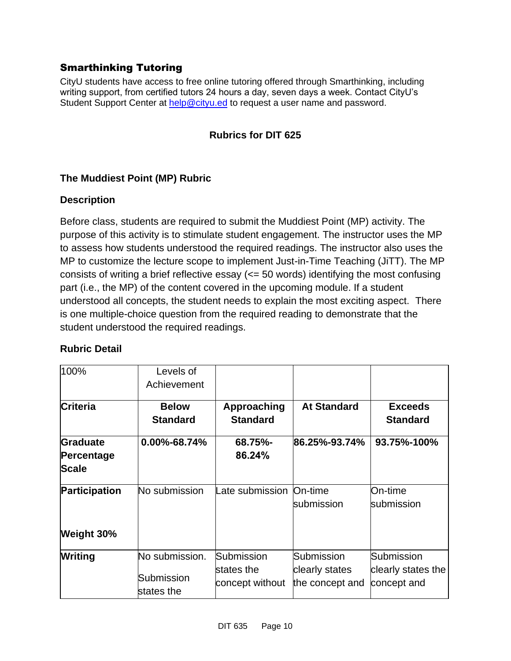## Smarthinking Tutoring

CityU students have access to free online tutoring offered through Smarthinking, including writing support, from certified tutors 24 hours a day, seven days a week. Contact CityU's Student Support Center at [help@cityu.ed](mailto:help@cityu.ed) to request a user name and password.

### **Rubrics for DIT 625**

#### **The Muddiest Point (MP) Rubric**

#### **Description**

Before class, students are required to submit the Muddiest Point (MP) activity. The purpose of this activity is to stimulate student engagement. The instructor uses the MP to assess how students understood the required readings. The instructor also uses the MP to customize the lecture scope to implement Just-in-Time Teaching (JiTT). The MP consists of writing a brief reflective essay (<= 50 words) identifying the most confusing part (i.e., the MP) of the content covered in the upcoming module. If a student understood all concepts, the student needs to explain the most exciting aspect. There is one multiple-choice question from the required reading to demonstrate that the student understood the required readings.

| 100%                                   | Levels of<br>Achievement                   |                                             |                                                 |                                                 |
|----------------------------------------|--------------------------------------------|---------------------------------------------|-------------------------------------------------|-------------------------------------------------|
| Criteria                               | <b>Below</b><br><b>Standard</b>            | Approaching<br><b>Standard</b>              | <b>At Standard</b>                              | <b>Exceeds</b><br><b>Standard</b>               |
| Graduate<br>Percentage<br><b>Scale</b> | 0.00%-68.74%                               | 68.75%-<br>86.24%                           | 86.25%-93.74%                                   | 93.75%-100%                                     |
| Participation                          | No submission                              | Late submission                             | On-time<br>submission                           | On-time<br>submission                           |
| Weight 30%                             |                                            |                                             |                                                 |                                                 |
| Writing                                | No submission.<br>Submission<br>states the | Submission<br>states the<br>concept without | Submission<br>clearly states<br>the concept and | Submission<br>clearly states the<br>concept and |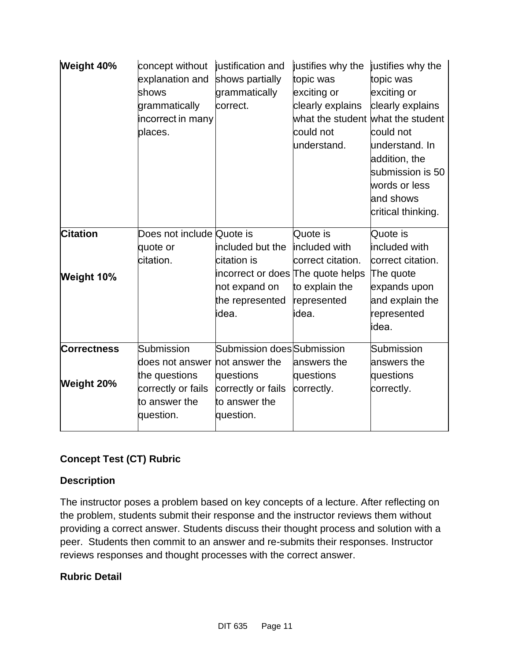| Weight 40%                       | concept without<br>explanation and<br>shows<br>grammatically<br>incorrect in many<br>places.       | justification and<br>shows partially<br>grammatically<br>correct.                                                 | justifies why the<br>topic was<br>exciting or<br>clearly explains<br>what the student<br>could not<br>understand. | justifies why the<br>topic was<br>exciting or<br>clearly explains<br>what the student<br>could not<br>understand. In<br>addition, the<br>submission is 50<br>words or less<br>and shows<br>critical thinking. |
|----------------------------------|----------------------------------------------------------------------------------------------------|-------------------------------------------------------------------------------------------------------------------|-------------------------------------------------------------------------------------------------------------------|---------------------------------------------------------------------------------------------------------------------------------------------------------------------------------------------------------------|
| <b>Citation</b><br>Weight 10%    | Does not include Quote is<br>quote or<br>citation.                                                 | included but the<br>citation is<br>incorrect or does The quote helps<br>not expand on<br>the represented<br>idea. | Quote is<br>included with<br>correct citation.<br>to explain the<br>represented<br>idea.                          | Quote is<br>included with<br>correct citation.<br>The quote<br>expands upon<br>and explain the<br>represented<br>idea.                                                                                        |
| <b>Correctness</b><br>Weight 20% | Submission<br>does not answer<br>the questions<br>correctly or fails<br>to answer the<br>question. | Submission does Submission<br>not answer the<br>questions<br>correctly or fails<br>to answer the<br>question.     | answers the<br>questions<br>correctly.                                                                            | Submission<br>answers the<br>questions<br>correctly.                                                                                                                                                          |

## **Concept Test (CT) Rubric**

#### **Description**

The instructor poses a problem based on key concepts of a lecture. After reflecting on the problem, students submit their response and the instructor reviews them without providing a correct answer. Students discuss their thought process and solution with a peer. Students then commit to an answer and re-submits their responses. Instructor reviews responses and thought processes with the correct answer.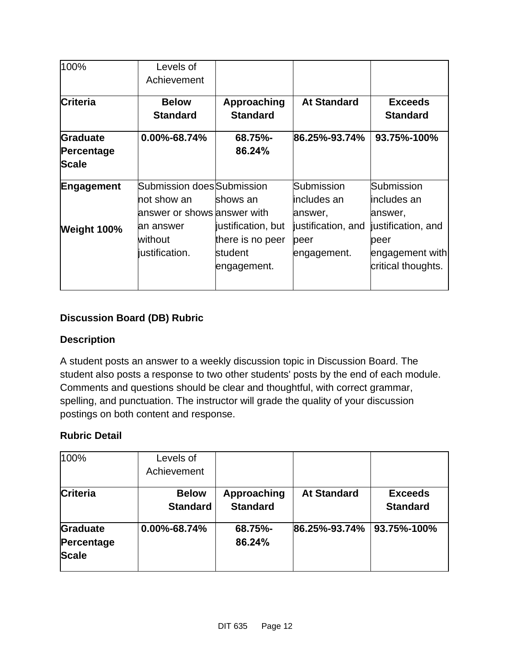| 100%            | Levels of                     |                    |                    |                    |
|-----------------|-------------------------------|--------------------|--------------------|--------------------|
|                 | Achievement                   |                    |                    |                    |
| <b>Criteria</b> | <b>Below</b>                  | Approaching        | <b>At Standard</b> | <b>Exceeds</b>     |
|                 | <b>Standard</b>               | <b>Standard</b>    |                    | <b>Standard</b>    |
| Graduate        | $0.00\% - 68.74\%$            | 68.75%-            | 86.25%-93.74%      | 93.75%-100%        |
| Percentage      |                               | 86.24%             |                    |                    |
| <b>Scale</b>    |                               |                    |                    |                    |
| Engagement      | Submission does Submission    |                    | Submission         | Submission         |
|                 | not show an                   | shows an           | includes an        | lincludes an       |
|                 | lanswer or shows lanswer with |                    | answer,            | answer,            |
| Weight 100%     | an answer                     | justification, but | justification, and | justification, and |
|                 | without                       | there is no peer   | peer               | peer               |
|                 | justification.                | student            | engagement.        | engagement with    |
|                 |                               | engagement.        |                    | critical thoughts. |
|                 |                               |                    |                    |                    |

## **Discussion Board (DB) Rubric**

#### **Description**

A student posts an answer to a weekly discussion topic in Discussion Board. The student also posts a response to two other students' posts by the end of each module. Comments and questions should be clear and thoughtful, with correct grammar, spelling, and punctuation. The instructor will grade the quality of your discussion postings on both content and response.

| 100%            | Levels of          |                 |                    |                 |
|-----------------|--------------------|-----------------|--------------------|-----------------|
|                 | Achievement        |                 |                    |                 |
| Criteria        | <b>Below</b>       | Approaching     | <b>At Standard</b> | <b>Exceeds</b>  |
|                 | <b>Standard</b>    | <b>Standard</b> |                    | <b>Standard</b> |
| <b>Graduate</b> | $0.00\% - 68.74\%$ | 68.75%-         | 86.25%-93.74%      | 93.75%-100%     |
| Percentage      |                    | 86.24%          |                    |                 |
| <b>Scale</b>    |                    |                 |                    |                 |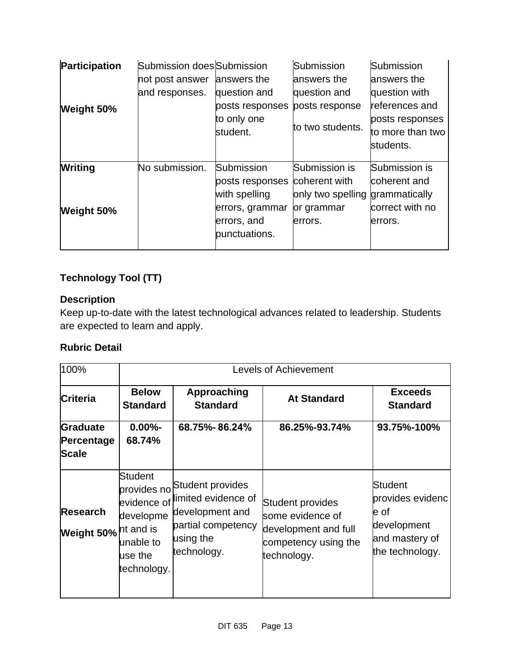| <b>Participation</b> | Submission does Submission |                 | Submission        | Submission       |
|----------------------|----------------------------|-----------------|-------------------|------------------|
|                      | not post answer            | answers the     | answers the       | answers the      |
|                      | and responses.             | question and    | question and      | question with    |
| Weight 50%           |                            | posts responses | posts response    | references and   |
|                      |                            | to only one     |                   | posts responses  |
|                      |                            | student.        | to two students.  | to more than two |
|                      |                            |                 |                   | students.        |
|                      |                            |                 |                   |                  |
| <b>Writing</b>       | No submission.             | Submission      | Submission is     | Submission is    |
|                      |                            | posts responses | coherent with     | coherent and     |
|                      |                            | with spelling   | only two spelling | grammatically    |
| Weight 50%           |                            | errors, grammar | or grammar        | correct with no  |
|                      |                            | errors, and     | lerrors.          | errors.          |
|                      |                            | punctuations.   |                   |                  |
|                      |                            |                 |                   |                  |

## **Technology Tool (TT)**

### **Description**

Keep up-to-date with the latest technological advances related to leadership. Students are expected to learn and apply.

| 100%                                   | <b>Levels of Achievement</b>                                                                   |                                                                                                                          |                                                                                                     |                                                                                                |
|----------------------------------------|------------------------------------------------------------------------------------------------|--------------------------------------------------------------------------------------------------------------------------|-----------------------------------------------------------------------------------------------------|------------------------------------------------------------------------------------------------|
| <b>Criteria</b>                        | <b>Below</b><br><b>Standard</b>                                                                | Approaching<br><b>Standard</b>                                                                                           | <b>At Standard</b>                                                                                  | <b>Exceeds</b><br><b>Standard</b>                                                              |
| Graduate<br>Percentage<br><b>Scale</b> | $0.00\% -$<br>68.74%                                                                           | 68.75%-86.24%                                                                                                            | 86.25%-93.74%                                                                                       | 93.75%-100%                                                                                    |
| <b>Research</b><br>Weight 50%          | <b>Student</b><br>evidence of<br>developme<br>nt and is<br>unable to<br>use the<br>technology. | provides no Student provides<br>limited evidence of<br>development and<br>partial competency<br>using the<br>technology. | Student provides<br>some evidence of<br>development and full<br>competency using the<br>technology. | <b>Student</b><br>provides evidenc<br>e of<br>development<br>and mastery of<br>the technology. |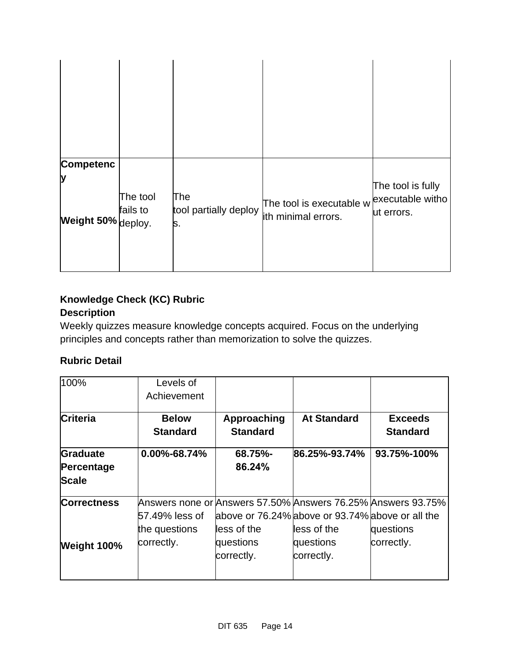| <b>Competenc</b><br>Ŋ<br>Weight 50% deploy. | The tool<br>fails to | The<br>tool partially deploy<br>s. | The tool is executable $w$ executable witho<br>ith minimal errors. | The tool is fully<br>ut errors. |
|---------------------------------------------|----------------------|------------------------------------|--------------------------------------------------------------------|---------------------------------|

## **Knowledge Check (KC) Rubric Description**

Weekly quizzes measure knowledge concepts acquired. Focus on the underlying principles and concepts rather than memorization to solve the quizzes.

| 100%                                   | Levels of                       |                                |                                                                 |                                                                           |
|----------------------------------------|---------------------------------|--------------------------------|-----------------------------------------------------------------|---------------------------------------------------------------------------|
|                                        | Achievement                     |                                |                                                                 |                                                                           |
| <b>Criteria</b>                        | <b>Below</b><br><b>Standard</b> | Approaching<br><b>Standard</b> | <b>At Standard</b>                                              | <b>Exceeds</b><br><b>Standard</b>                                         |
| Graduate<br>Percentage<br><b>Scale</b> | $0.00\% - 68.74\%$              | 68.75%-<br>86.24%              | 86.25%-93.74%                                                   | 93.75%-100%                                                               |
| <b>Correctness</b>                     | 57.49% less of<br>the questions | less of the                    | above or 76.24% above or 93.74% above or all the<br>less of the | Answers none or Answers 57.50% Answers 76.25% Answers 93.75%<br>questions |
| Weight 100%                            | correctly.                      | questions<br>correctly.        | questions<br>correctly.                                         | correctly.                                                                |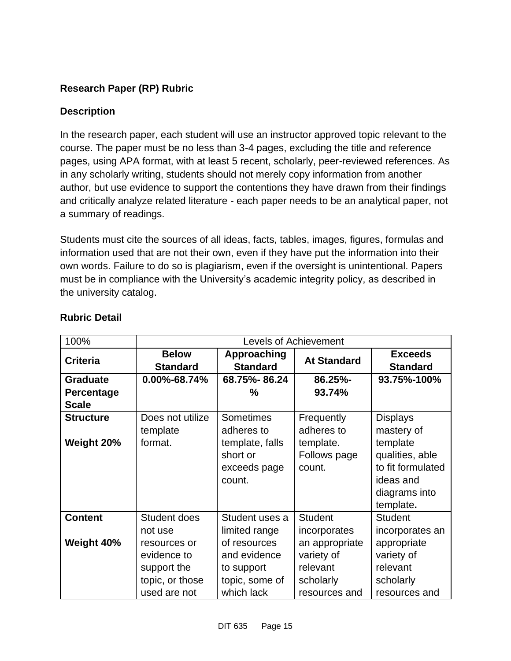## **Research Paper (RP) Rubric**

### **Description**

In the research paper, each student will use an instructor approved topic relevant to the course. The paper must be no less than 3-4 pages, excluding the title and reference pages, using APA format, with at least 5 recent, scholarly, peer-reviewed references. As in any scholarly writing, students should not merely copy information from another author, but use evidence to support the contentions they have drawn from their findings and critically analyze related literature - each paper needs to be an analytical paper, not a summary of readings.

Students must cite the sources of all ideas, facts, tables, images, figures, formulas and information used that are not their own, even if they have put the information into their own words. Failure to do so is plagiarism, even if the oversight is unintentional. Papers must be in compliance with the University's academic integrity policy, as described in the university catalog.

| 100%              |                                 |                                | <b>Levels of Achievement</b> |                                   |
|-------------------|---------------------------------|--------------------------------|------------------------------|-----------------------------------|
| <b>Criteria</b>   | <b>Below</b><br><b>Standard</b> | Approaching<br><b>Standard</b> | <b>At Standard</b>           | <b>Exceeds</b><br><b>Standard</b> |
| <b>Graduate</b>   | 0.00%-68.74%                    | 68.75%-86.24                   | 86.25%-                      | 93.75%-100%                       |
| <b>Percentage</b> |                                 | ℅                              | 93.74%                       |                                   |
| <b>Scale</b>      |                                 |                                |                              |                                   |
| <b>Structure</b>  | Does not utilize                | <b>Sometimes</b>               | Frequently                   | <b>Displays</b>                   |
|                   | template                        | adheres to                     | adheres to                   | mastery of                        |
| Weight 20%        | format.                         | template, falls                | template.                    | template                          |
|                   |                                 | short or                       | Follows page                 | qualities, able                   |
|                   |                                 | exceeds page                   | count.                       | to fit formulated                 |
|                   |                                 | count.                         |                              | ideas and                         |
|                   |                                 |                                |                              | diagrams into                     |
|                   |                                 |                                |                              | template.                         |
| <b>Content</b>    | <b>Student does</b>             | Student uses a                 | <b>Student</b>               | <b>Student</b>                    |
|                   | not use                         | limited range                  | incorporates                 | incorporates an                   |
| Weight 40%        | resources or                    | of resources                   | an appropriate               | appropriate                       |
|                   | evidence to                     | and evidence                   | variety of                   | variety of                        |
|                   | support the                     | to support                     | relevant                     | relevant                          |
|                   | topic, or those                 | topic, some of                 | scholarly                    | scholarly                         |
|                   | used are not                    | which lack                     | resources and                | resources and                     |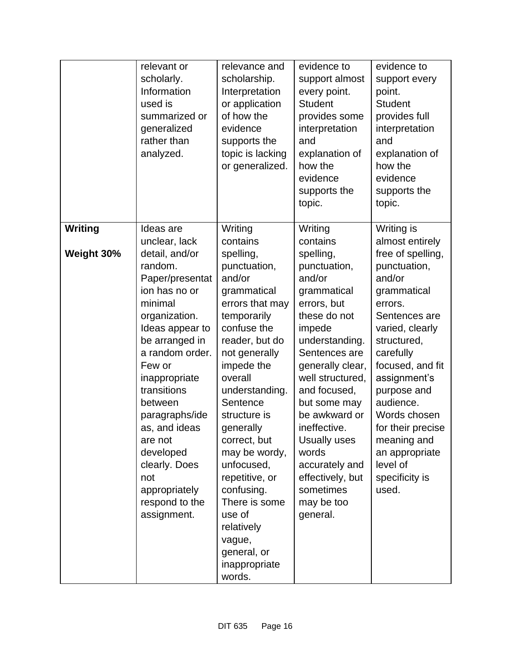|                              | relevant or<br>scholarly.<br>Information<br>used is<br>summarized or<br>generalized<br>rather than<br>analyzed.                                                                                                                                                                                                                                                           | relevance and<br>scholarship.<br>Interpretation<br>or application<br>of how the<br>evidence<br>supports the<br>topic is lacking<br>or generalized.                                                                                                                                                                                                                                                                            | evidence to<br>support almost<br>every point.<br><b>Student</b><br>provides some<br>interpretation<br>and<br>explanation of<br>how the<br>evidence<br>supports the<br>topic.                                                                                                                                                                                         | evidence to<br>support every<br>point.<br><b>Student</b><br>provides full<br>interpretation<br>and<br>explanation of<br>how the<br>evidence<br>supports the<br>topic.                                                                                                                                                                               |
|------------------------------|---------------------------------------------------------------------------------------------------------------------------------------------------------------------------------------------------------------------------------------------------------------------------------------------------------------------------------------------------------------------------|-------------------------------------------------------------------------------------------------------------------------------------------------------------------------------------------------------------------------------------------------------------------------------------------------------------------------------------------------------------------------------------------------------------------------------|----------------------------------------------------------------------------------------------------------------------------------------------------------------------------------------------------------------------------------------------------------------------------------------------------------------------------------------------------------------------|-----------------------------------------------------------------------------------------------------------------------------------------------------------------------------------------------------------------------------------------------------------------------------------------------------------------------------------------------------|
| <b>Writing</b><br>Weight 30% | Ideas are<br>unclear, lack<br>detail, and/or<br>random.<br>Paper/presentat<br>ion has no or<br>minimal<br>organization.<br>Ideas appear to<br>be arranged in<br>a random order.<br>Few or<br>inappropriate<br>transitions<br>between<br>paragraphs/ide<br>as, and ideas<br>are not<br>developed<br>clearly. Does<br>not<br>appropriately<br>respond to the<br>assignment. | Writing<br>contains<br>spelling,<br>punctuation,<br>and/or<br>grammatical<br>errors that may<br>temporarily<br>confuse the<br>reader, but do<br>not generally<br>impede the<br>overall<br>understanding.<br>Sentence<br>structure is<br>generally<br>correct, but<br>may be wordy,<br>unfocused,<br>repetitive, or<br>confusing.<br>There is some<br>use of<br>relatively<br>vague,<br>general, or<br>inappropriate<br>words. | Writing<br>contains<br>spelling,<br>punctuation,<br>and/or<br>grammatical<br>errors, but<br>these do not<br>impede<br>understanding.<br>Sentences are<br>generally clear,<br>well structured,<br>and focused,<br>but some may<br>be awkward or<br>ineffective.<br>Usually uses<br>words<br>accurately and<br>effectively, but<br>sometimes<br>may be too<br>general. | Writing is<br>almost entirely<br>free of spelling,<br>punctuation,<br>and/or<br>grammatical<br>errors.<br>Sentences are<br>varied, clearly<br>structured,<br>carefully<br>focused, and fit<br>assignment's<br>purpose and<br>audience.<br>Words chosen<br>for their precise<br>meaning and<br>an appropriate<br>level of<br>specificity is<br>used. |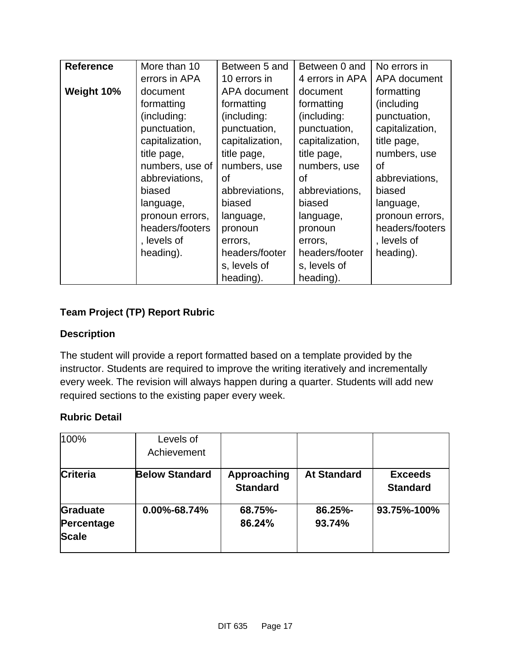| <b>Reference</b> | More than 10    | Between 5 and   | Between 0 and   | No errors in    |
|------------------|-----------------|-----------------|-----------------|-----------------|
|                  | errors in APA   | 10 errors in    | 4 errors in APA | APA document    |
| Weight 10%       | document        | APA document    | document        | formatting      |
|                  | formatting      | formatting      | formatting      | (including)     |
|                  | (including:     | (including:     | (including:     | punctuation,    |
|                  | punctuation,    | punctuation,    | punctuation,    | capitalization, |
|                  | capitalization, | capitalization, | capitalization, | title page,     |
|                  | title page,     | title page,     | title page,     | numbers, use    |
|                  | numbers, use of | numbers, use    | numbers, use    | οf              |
|                  | abbreviations,  | οf              | οf              | abbreviations,  |
|                  | biased          | abbreviations,  | abbreviations,  | biased          |
|                  | language,       | biased          | biased          | language,       |
|                  | pronoun errors, | language,       | language,       | pronoun errors, |
|                  | headers/footers | pronoun         | pronoun         | headers/footers |
|                  | , levels of     | errors,         | errors,         | , levels of     |
|                  | heading).       | headers/footer  | headers/footer  | heading).       |
|                  |                 | s, levels of    | s, levels of    |                 |
|                  |                 | heading).       | heading).       |                 |

## **Team Project (TP) Report Rubric**

#### **Description**

The student will provide a report formatted based on a template provided by the instructor. Students are required to improve the writing iteratively and incrementally every week. The revision will always happen during a quarter. Students will add new required sections to the existing paper every week.

| 100%            | Levels of             |                 |                    |                 |
|-----------------|-----------------------|-----------------|--------------------|-----------------|
|                 | Achievement           |                 |                    |                 |
| <b>Criteria</b> | <b>Below Standard</b> | Approaching     | <b>At Standard</b> | <b>Exceeds</b>  |
|                 |                       | <b>Standard</b> |                    | <b>Standard</b> |
| <b>Graduate</b> | $0.00\% - 68.74\%$    | 68.75%-         | 86.25%-            | 93.75%-100%     |
| Percentage      |                       | 86.24%          | 93.74%             |                 |
| <b>Scale</b>    |                       |                 |                    |                 |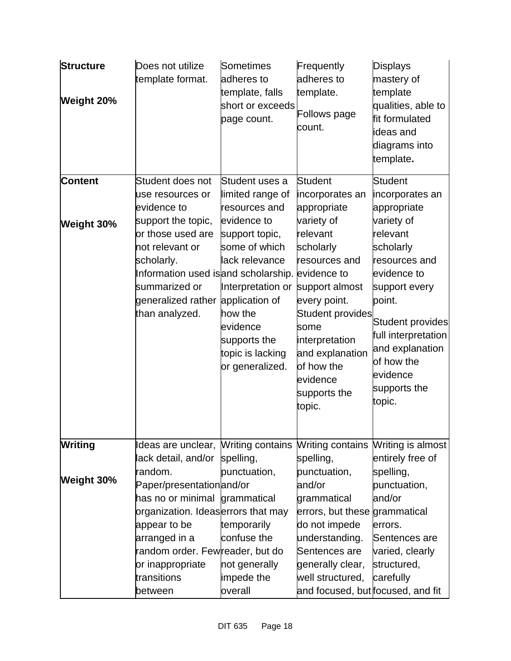| <b>Structure</b><br>Weight 20% | Does not utilize<br>template format.                                                                                                                                                                                                         | Sometimes<br>adheres to<br>template, falls<br>short or exceeds<br>page count.                                                                                                                                                                | Frequently<br>adheres to<br>template.<br><b>Follows page</b><br>count.                                                                                                                                                                                                 | <b>Displays</b><br>mastery of<br>template<br>qualities, able to<br>fit formulated<br>ideas and<br>diagrams into<br>template.                                                                                                                                         |
|--------------------------------|----------------------------------------------------------------------------------------------------------------------------------------------------------------------------------------------------------------------------------------------|----------------------------------------------------------------------------------------------------------------------------------------------------------------------------------------------------------------------------------------------|------------------------------------------------------------------------------------------------------------------------------------------------------------------------------------------------------------------------------------------------------------------------|----------------------------------------------------------------------------------------------------------------------------------------------------------------------------------------------------------------------------------------------------------------------|
| <b>Content</b><br>Weight 30%   | Student does not<br>use resources or<br>evidence to<br>support the topic,<br>or those used are<br>not relevant or<br>scholarly.<br>Information used is and scholarship. evidence to<br>summarized or<br>generalized rather<br>than analyzed. | Student uses a<br>limited range of<br>resources and<br>evidence to<br>support topic,<br>some of which<br>lack relevance<br>Interpretation or<br>application of<br>how the<br>evidence<br>supports the<br>topic is lacking<br>or generalized. | <b>Student</b><br>incorporates an<br>appropriate<br>variety of<br>relevant<br>scholarly<br>resources and<br>support almost<br>every point.<br><b>Student provides</b><br>some<br>interpretation<br>and explanation<br>of how the<br>evidence<br>supports the<br>topic. | <b>Student</b><br>incorporates an<br>appropriate<br>variety of<br>relevant<br>scholarly<br>resources and<br>evidence to<br>support every<br>point.<br>Student provides<br>full interpretation<br>and explanation<br>of how the<br>evidence<br>supports the<br>topic. |
| Writing<br><b>Weight 30%</b>   | Ideas are unclear, Writing contains<br>lack detail, and/or<br>random.<br>Paper/presentationand/or<br>has no or minimal grammatical<br>organization. Ideaserrors that may                                                                     | spelling,<br>punctuation,                                                                                                                                                                                                                    | spelling,<br>punctuation,<br>and/or<br>grammatical<br>errors, but these grammatical                                                                                                                                                                                    | Writing contains Writing is almost<br>entirely free of<br>spelling,<br>punctuation,<br>and/or                                                                                                                                                                        |
|                                | appear to be<br>arranged in a<br>random order. Fewreader, but do<br>or inappropriate<br>transitions<br>between                                                                                                                               | temporarily<br>confuse the<br>not generally<br>impede the<br>overall                                                                                                                                                                         | do not impede<br>understanding.<br>Sentences are<br>generally clear,<br>well structured,<br>and focused, but focused, and fit                                                                                                                                          | errors.<br>Sentences are<br>varied, clearly<br>structured,<br>carefully                                                                                                                                                                                              |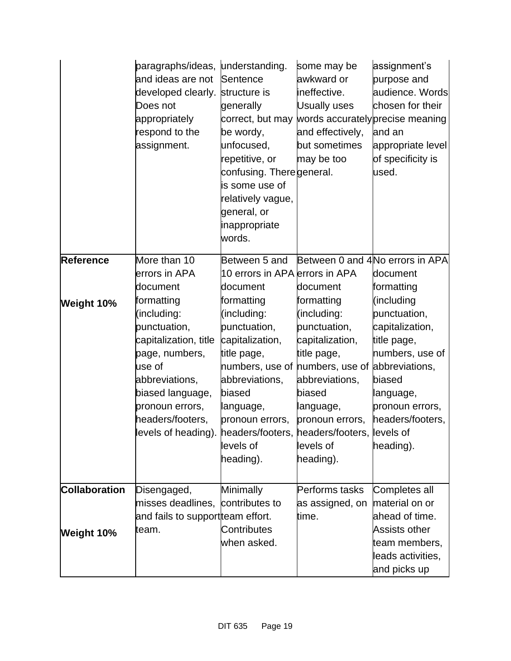|                      | paragraphs/ideas, understanding.<br>and ideas are not<br>developed clearly.<br>Does not<br>appropriately<br>respond to the<br>assignment. | Sentence<br>structure is<br>generally<br>be wordy,<br>unfocused,<br>repetitive, or<br>confusing. Theregeneral.<br>is some use of<br>relatively vague,<br>general, or<br>inappropriate<br>words. | some may be<br>awkward or<br>ineffective.<br><b>Usually uses</b><br>and effectively,<br>but sometimes<br>may be too | assignment's<br>purpose and<br>audience. Words<br>chosen for their<br>correct, but may words accurately precise meaning<br>and an<br>appropriate level<br>of specificity is<br>used. |
|----------------------|-------------------------------------------------------------------------------------------------------------------------------------------|-------------------------------------------------------------------------------------------------------------------------------------------------------------------------------------------------|---------------------------------------------------------------------------------------------------------------------|--------------------------------------------------------------------------------------------------------------------------------------------------------------------------------------|
| Reference            | More than 10<br>errors in APA                                                                                                             | Between 5 and<br>10 errors in APA errors in APA                                                                                                                                                 |                                                                                                                     | Between 0 and 4No errors in APA<br>document                                                                                                                                          |
|                      | document                                                                                                                                  | document                                                                                                                                                                                        | document                                                                                                            | formatting                                                                                                                                                                           |
| Weight 10%           | formatting                                                                                                                                | formatting                                                                                                                                                                                      | formatting                                                                                                          | (including                                                                                                                                                                           |
|                      | (including:                                                                                                                               | (including:                                                                                                                                                                                     | (including:                                                                                                         | punctuation,                                                                                                                                                                         |
|                      | punctuation,                                                                                                                              | punctuation,                                                                                                                                                                                    | punctuation,                                                                                                        | capitalization,                                                                                                                                                                      |
|                      | capitalization, title                                                                                                                     | capitalization,                                                                                                                                                                                 | capitalization,                                                                                                     | title page,                                                                                                                                                                          |
|                      | page, numbers,                                                                                                                            | title page,                                                                                                                                                                                     | title page,                                                                                                         | numbers, use of                                                                                                                                                                      |
|                      | use of                                                                                                                                    | numbers, use of numbers, use of abbreviations,                                                                                                                                                  |                                                                                                                     |                                                                                                                                                                                      |
|                      | abbreviations,                                                                                                                            | abbreviations,                                                                                                                                                                                  | abbreviations,                                                                                                      | biased                                                                                                                                                                               |
|                      | biased language,                                                                                                                          | biased                                                                                                                                                                                          | biased                                                                                                              | language,                                                                                                                                                                            |
|                      | pronoun errors,                                                                                                                           | language,                                                                                                                                                                                       | language,                                                                                                           | pronoun errors,                                                                                                                                                                      |
|                      | headers/footers,                                                                                                                          | pronoun errors,                                                                                                                                                                                 | pronoun errors,                                                                                                     | headers/footers,                                                                                                                                                                     |
|                      | levels of heading). headers/footers, headers/footers, levels of                                                                           |                                                                                                                                                                                                 |                                                                                                                     |                                                                                                                                                                                      |
|                      |                                                                                                                                           | levels of                                                                                                                                                                                       | levels of                                                                                                           | heading).                                                                                                                                                                            |
|                      |                                                                                                                                           | heading).                                                                                                                                                                                       | heading).                                                                                                           |                                                                                                                                                                                      |
| <b>Collaboration</b> | Disengaged,                                                                                                                               | Minimally                                                                                                                                                                                       | Performs tasks                                                                                                      | Completes all                                                                                                                                                                        |
|                      | misses deadlines,                                                                                                                         | contributes to                                                                                                                                                                                  | as assigned, on                                                                                                     | material on or                                                                                                                                                                       |
|                      | and fails to supportteam effort.                                                                                                          |                                                                                                                                                                                                 | time.                                                                                                               | ahead of time.                                                                                                                                                                       |
| Weight 10%           | team.                                                                                                                                     | <b>Contributes</b>                                                                                                                                                                              |                                                                                                                     | <b>Assists other</b>                                                                                                                                                                 |
|                      |                                                                                                                                           | when asked.                                                                                                                                                                                     |                                                                                                                     | team members,                                                                                                                                                                        |
|                      |                                                                                                                                           |                                                                                                                                                                                                 |                                                                                                                     | leads activities,                                                                                                                                                                    |
|                      |                                                                                                                                           |                                                                                                                                                                                                 |                                                                                                                     | and picks up                                                                                                                                                                         |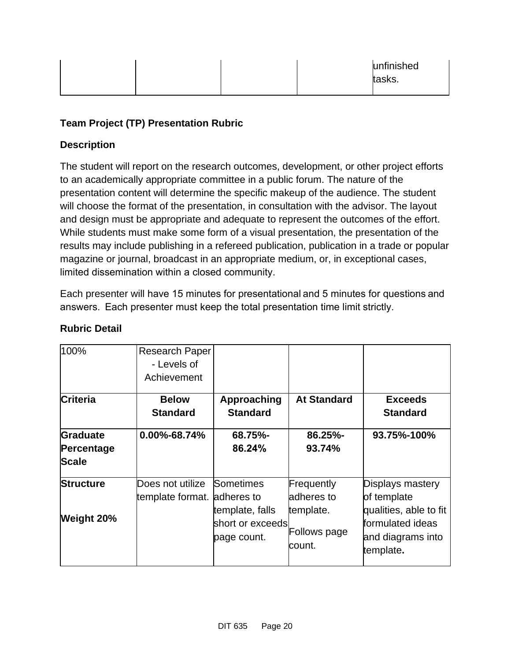|  | unfinished<br>tasks. |
|--|----------------------|
|--|----------------------|

## **Team Project (TP) Presentation Rubric**

### **Description**

The student will report on the research outcomes, development, or other project efforts to an academically appropriate committee in a public forum. The nature of the presentation content will determine the specific makeup of the audience. The student will choose the format of the presentation, in consultation with the advisor. The layout and design must be appropriate and adequate to represent the outcomes of the effort. While students must make some form of a visual presentation, the presentation of the results may include publishing in a refereed publication, publication in a trade or popular magazine or journal, broadcast in an appropriate medium, or, in exceptional cases, limited dissemination within a closed community. 

Each presenter will have 15 minutes for presentational and 5 minutes for questions and answers.  Each presenter must keep the total presentation time limit strictly. 

| 100%            | <b>Research Paper</b>       |                  |                        |                                |
|-----------------|-----------------------------|------------------|------------------------|--------------------------------|
|                 | - Levels of                 |                  |                        |                                |
|                 | Achievement                 |                  |                        |                                |
| <b>Criteria</b> | <b>Below</b>                | Approaching      | <b>At Standard</b>     | <b>Exceeds</b>                 |
|                 | <b>Standard</b>             | <b>Standard</b>  |                        | <b>Standard</b>                |
| Graduate        | 0.00%-68.74%                | 68.75%-          | 86.25%-                | 93.75%-100%                    |
| Percentage      |                             | 86.24%           | 93.74%                 |                                |
| <b>Scale</b>    |                             |                  |                        |                                |
| Structure       | Does not utilize            | Sometimes        | Frequently             | Displays mastery               |
|                 | template format. adheres to |                  | adheres to             | of template                    |
|                 |                             | template, falls  | template.              | qualities, able to fit         |
| Weight 20%      |                             | short or exceeds |                        | formulated ideas               |
|                 |                             | page count.      | Follows page<br>count. | and diagrams into<br>template. |
|                 |                             |                  |                        |                                |